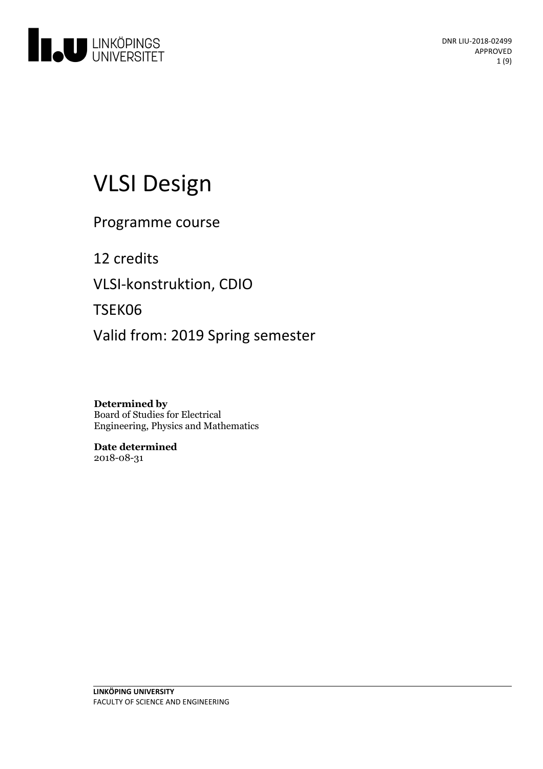

# VLSI Design

Programme course

12 credits VLSI-konstruktion, CDIO TSEK06 Valid from: 2019 Spring semester

**Determined by** Board of Studies for Electrical Engineering, Physics and Mathematics

**Date determined** 2018-08-31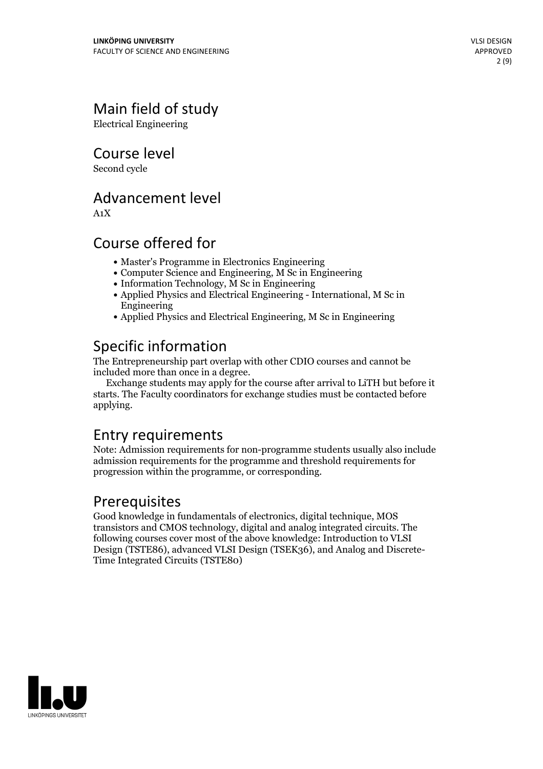## Main field of study

Electrical Engineering

Course level

Second cycle

### Advancement level

A1X

### Course offered for

- Master's Programme in Electronics Engineering
- Computer Science and Engineering, M Sc in Engineering
- Information Technology, M Sc in Engineering
- Applied Physics and Electrical Engineering International, M Sc in Engineering
- Applied Physics and Electrical Engineering, M Sc in Engineering

### Specific information

The Entrepreneurship part overlap with other CDIO courses and cannot be included more than once in a degree.

Exchange students may apply for the course after arrival to LiTH but before it starts. The Faculty coordinators for exchange studies must be contacted before applying.

### Entry requirements

Note: Admission requirements for non-programme students usually also include admission requirements for the programme and threshold requirements for progression within the programme, or corresponding.

### Prerequisites

Good knowledge in fundamentals of electronics, digital technique, MOS transistors and CMOS technology, digital and analog integrated circuits. The following courses cover most of the above knowledge: Introduction to VLSI Design (TSTE86), advanced VLSI Design (TSEK36), and Analog and Discrete- Time Integrated Circuits (TSTE80)

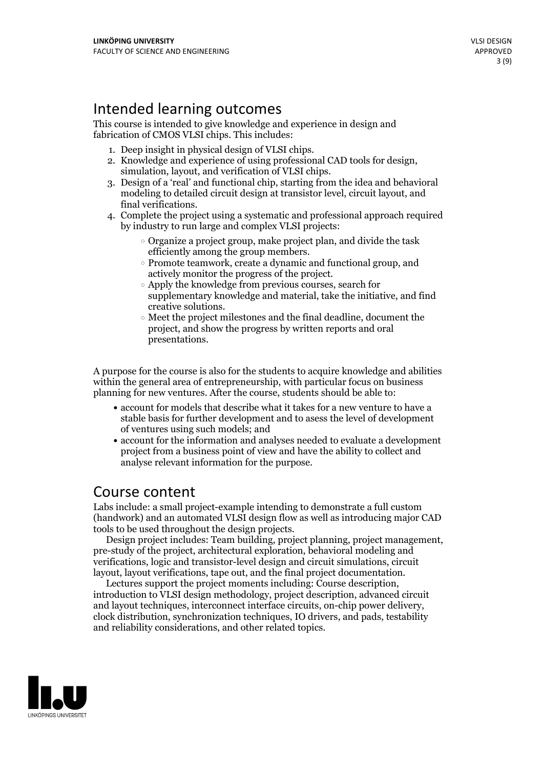### Intended learning outcomes

This course is intended to give knowledge and experience in design and fabrication of CMOS VLSI chips. This includes:

- 
- 1. Deep insight in physical design of VLSI chips.<br>2. Knowledge and experience of using professional CAD tools for design,<br>5. Simulation, layout, and verification of VLSI chips.<br>3. Design of a 'real' and functional chip, st
- modeling to detailed circuit design at transistor level, circuit layout, and
- 4. Complete the project using a systematic and professional approach required by industry to run large and complex VLSI projects:
	- Organize a project group, make project plan, and divide the task
	- efficiently among the group members.<br>  $\circ$  Promote teamwork, create a dynamic and functional group, and actively monitor the progress of the project.<br>  $\circ$  Apply the knowledge from previous courses, search for
	- supplementary knowledge and material, take the initiative, and find creative solutions.<br> $\circ$  Meet the project milestones and the final deadline, document the
	- project, and show the progress by written reports and oral presentations.

A purpose for the course is also for the students to acquire knowledge and abilities within the general area of entrepreneurship, with particular focus on business planning for new ventures. After the course, students should be able to:

- account for models that describe what it takes for a new venture to have a stable basis for further development and to asess the level of development of ventures using such models; and
- account for the information and analyses needed to evaluate a development project from a business point of view and have the ability to collect and analyse relevant information for the purpose.

### Course content

Labs include: a small project-example intending to demonstrate a full custom (handwork) and an automated VLSI design flow as well as introducing major CAD tools to be used throughout the design projects.

Design project includes: Team building, project planning, project management, pre-study of the project, architectural exploration, behavioral modeling and verifications, logic and transistor-level design and circuit simulations, circuit

layout, layout verifications, tape out, and the final project documentation. Lectures support the project moments including: Course description, introduction to VLSI design methodology, project description, advanced circuit clock distribution, synchronization techniques, IO drivers, and pads, testability and reliability considerations, and other related topics.

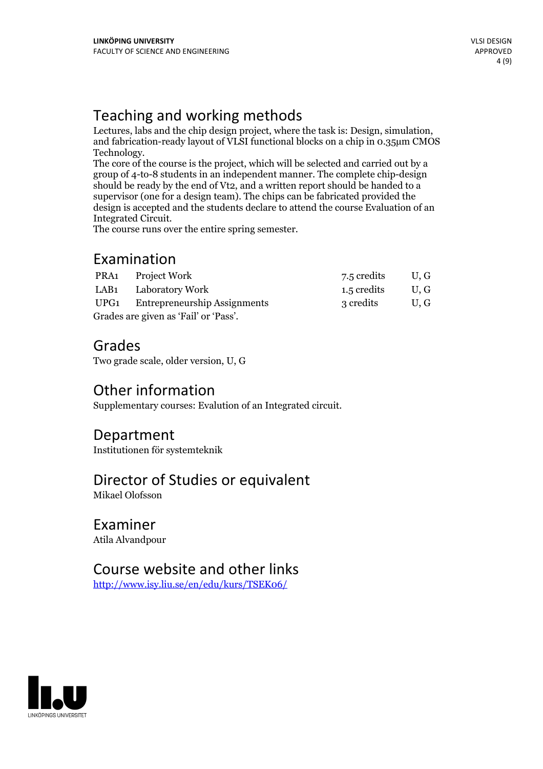Teaching and working methods<br>Lectures, labs and the chip design project, where the task is: Design, simulation, and fabrication-ready layout of VLSI functional blocks on a chip in 0.35µm CMOS

Technology.<br>The core of the course is the project, which will be selected and carried out by a group of 4-to-8 students in an independent manner. The complete chip-design should be ready by the end of Vt2, and a written report should be handed to a supervisor (one for a design team). The chips can be fabricated provided the design is accepted and the students declare to attend the course Evaluation of an Integrated Circuit. The course runs over the entire spring semester.

### Examination

|                                       | PRA1 Project Work                 | 7.5 credits | U.G  |
|---------------------------------------|-----------------------------------|-------------|------|
|                                       | LAB1 Laboratory Work              | 1.5 credits | U, G |
|                                       | UPG1 Entrepreneurship Assignments | 3 credits   | U.G  |
| Grades are given as 'Fail' or 'Pass'. |                                   |             |      |

### Grades

Two grade scale, older version, U, G

### Other information

Supplementary courses: Evalution of an Integrated circuit.

#### Department

Institutionen för systemteknik

### Director of Studies or equivalent

Mikael Olofsson

### Examiner

Atila Alvandpour

### Course website and other links

<http://www.isy.liu.se/en/edu/kurs/TSEK06/>

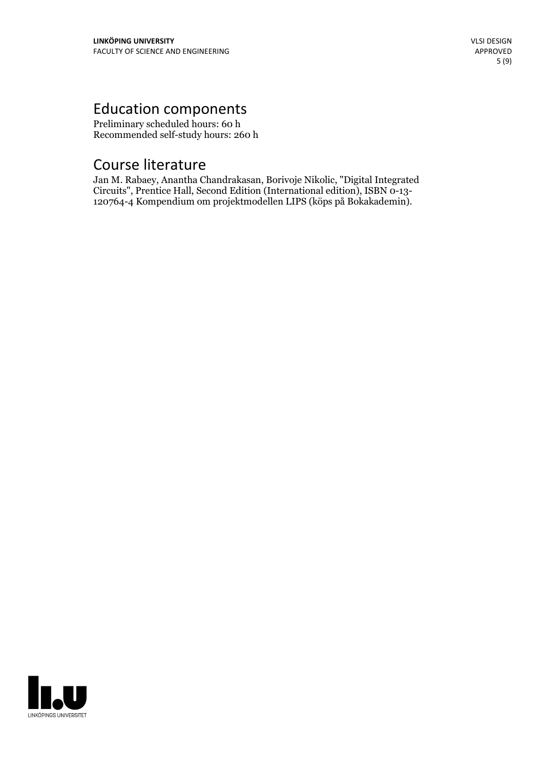## Education components

Preliminary scheduled hours: 60 h Recommended self-study hours: 260 h

### Course literature

Jan M. Rabaey, Anantha Chandrakasan, Borivoje Nikolic, "Digital Integrated 120764-4 Kompendium om projektmodellen LIPS (köps på Bokakademin).

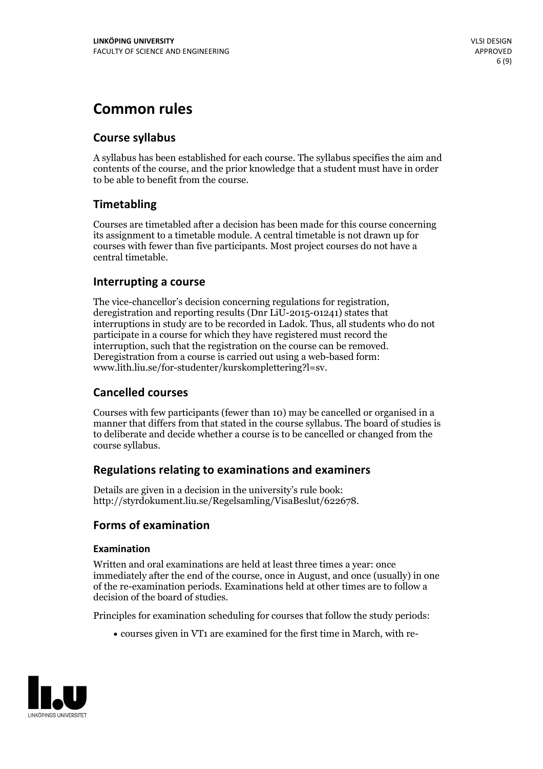### **Common rules**

#### **Course syllabus**

A syllabus has been established for each course. The syllabus specifies the aim and contents of the course, and the prior knowledge that a student must have in order to be able to benefit from the course.

#### **Timetabling**

Courses are timetabled after a decision has been made for this course concerning its assignment to a timetable module. A central timetable is not drawn up for courses with fewer than five participants. Most project courses do not have a central timetable.

#### **Interrupting a course**

The vice-chancellor's decision concerning regulations for registration, deregistration and reporting results (Dnr LiU-2015-01241) states that interruptions in study are to be recorded in Ladok. Thus, all students who do not participate in a course for which they have registered must record the interruption, such that the registration on the course can be removed. Deregistration from <sup>a</sup> course is carried outusing <sup>a</sup> web-based form: www.lith.liu.se/for-studenter/kurskomplettering?l=sv.

#### **Cancelled courses**

Courses with few participants (fewer than 10) may be cancelled or organised in a manner that differs from that stated in the course syllabus. The board of studies is to deliberate and decide whether a course is to be cancelled orchanged from the course syllabus.

#### **Regulations relatingto examinations and examiners**

Details are given in a decision in the university's rule book: http://styrdokument.liu.se/Regelsamling/VisaBeslut/622678.

#### **Forms of examination**

#### **Examination**

Written and oral examinations are held at least three times a year: once immediately after the end of the course, once in August, and once (usually) in one of the re-examination periods. Examinations held at other times are to follow a decision of the board of studies.

Principles for examination scheduling for courses that follow the study periods:

courses given in VT1 are examined for the first time in March, with re-

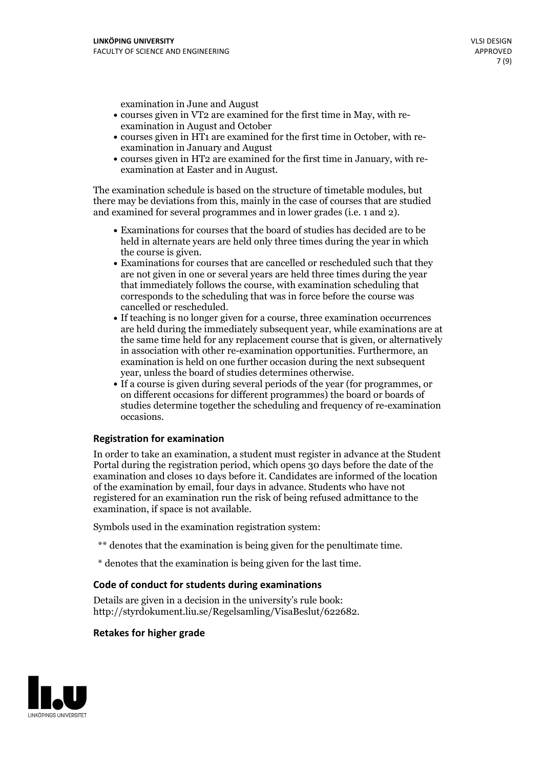examination in June and August

- courses given in VT2 are examined for the first time in May, with re-examination in August and October
- courses given in HT1 are examined for the first time in October, with re-examination in January and August
- courses given in HT2 are examined for the first time in January, with re-examination at Easter and in August.

The examination schedule is based on the structure of timetable modules, but there may be deviations from this, mainly in the case of courses that are studied and examined for several programmes and in lower grades (i.e. 1 and 2).

- Examinations for courses that the board of studies has decided are to be held in alternate years are held only three times during the year in which
- the course is given.<br>• Examinations for courses that are cancelled or rescheduled such that they are not given in one or several years are held three times during the year that immediately follows the course, with examination scheduling that corresponds to the scheduling that was in force before the course was cancelled or rescheduled.<br>• If teaching is no longer given for a course, three examination occurrences
- are held during the immediately subsequent year, while examinations are at the same time held for any replacement course that is given, or alternatively in association with other re-examination opportunities. Furthermore, an examination is held on one further occasion during the next subsequent year, unless the board of studies determines otherwise.<br>• If a course is given during several periods of the year (for programmes, or
- on different occasions for different programmes) the board orboards of studies determine together the scheduling and frequency of re-examination occasions.

#### **Registration for examination**

In order to take an examination, a student must register in advance at the Student Portal during the registration period, which opens 30 days before the date of the examination and closes 10 days before it. Candidates are informed of the location of the examination by email, four days in advance. Students who have not registered for an examination run the risk of being refused admittance to the examination, if space is not available.

Symbols used in the examination registration system:

- \*\* denotes that the examination is being given for the penultimate time.
- \* denotes that the examination is being given for the last time.

#### **Code of conduct for students during examinations**

Details are given in a decision in the university's rule book: http://styrdokument.liu.se/Regelsamling/VisaBeslut/622682.

#### **Retakes for higher grade**

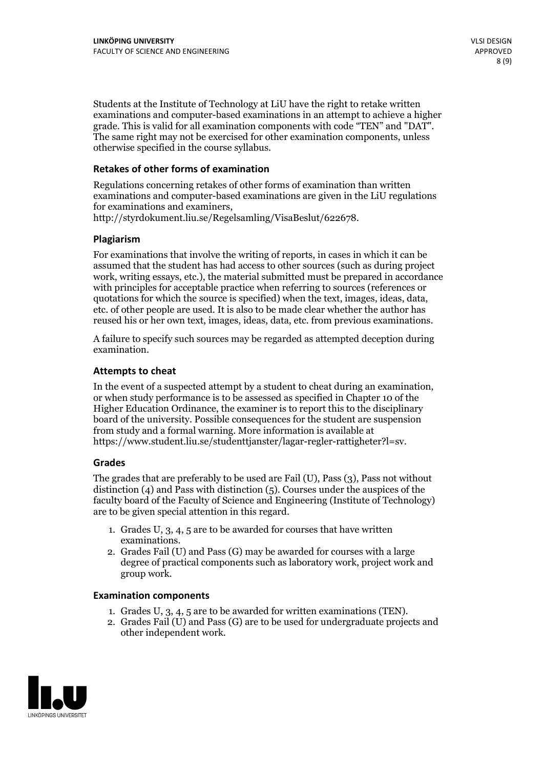Students at the Institute of Technology at LiU have the right to retake written examinations and computer-based examinations in an attempt to achieve a higher grade. This is valid for all examination components with code "TEN" and "DAT". The same right may not be exercised for other examination components, unless otherwise specified in the course syllabus.

#### **Retakes of other forms of examination**

Regulations concerning retakes of other forms of examination than written examinations and computer-based examinations are given in the LiU regulations for examinations and examiners, http://styrdokument.liu.se/Regelsamling/VisaBeslut/622678.

#### **Plagiarism**

For examinations that involve the writing of reports, in cases in which it can be assumed that the student has had access to other sources (such as during project work, writing essays, etc.), the material submitted must be prepared in accordance with principles for acceptable practice when referring to sources (references or quotations for which the source is specified) when the text, images, ideas, data, etc. of other people are used. It is also to be made clear whether the author has reused his or her own text, images, ideas, data, etc. from previous examinations.

A failure to specify such sources may be regarded as attempted deception during examination.

#### **Attempts to cheat**

In the event of <sup>a</sup> suspected attempt by <sup>a</sup> student to cheat during an examination, or when study performance is to be assessed as specified in Chapter <sup>10</sup> of the Higher Education Ordinance, the examiner is to report this to the disciplinary board of the university. Possible consequences for the student are suspension from study and a formal warning. More information is available at https://www.student.liu.se/studenttjanster/lagar-regler-rattigheter?l=sv.

#### **Grades**

The grades that are preferably to be used are Fail (U), Pass (3), Pass not without distinction  $(4)$  and Pass with distinction  $(5)$ . Courses under the auspices of the faculty board of the Faculty of Science and Engineering (Institute of Technology) are to be given special attention in this regard.

- 1. Grades U, 3, 4, 5 are to be awarded for courses that have written
- examinations. 2. Grades Fail (U) and Pass (G) may be awarded for courses with <sup>a</sup> large degree of practical components such as laboratory work, project work and group work.

#### **Examination components**

- 
- 1. Grades U, 3, 4, <sup>5</sup> are to be awarded for written examinations (TEN). 2. Grades Fail (U) and Pass (G) are to be used for undergraduate projects and other independent work.